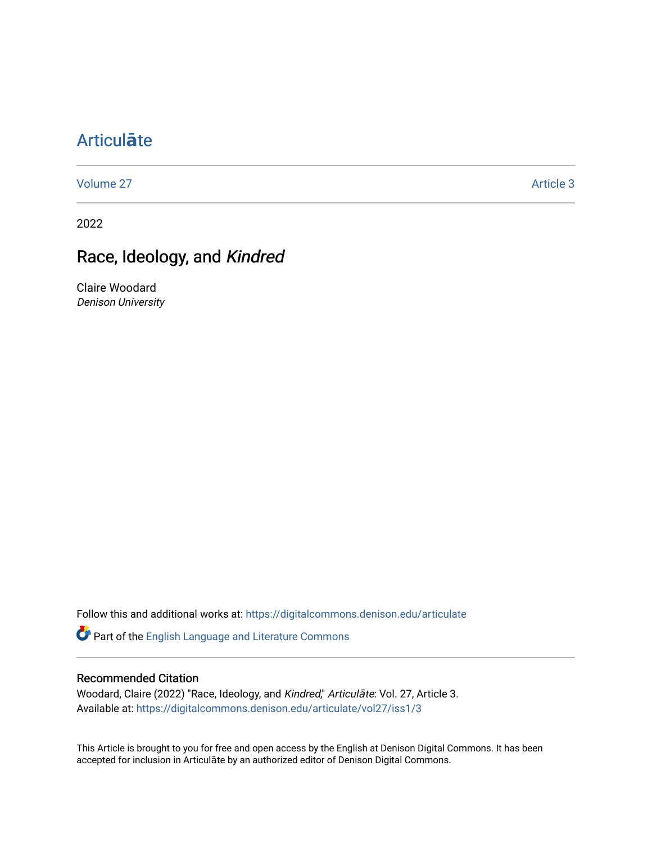## [Articul](https://digitalcommons.denison.edu/articulate)**ā**te

[Volume 27](https://digitalcommons.denison.edu/articulate/vol27) Article 3

2022

## Race, Ideology, and Kindred

Claire Woodard Denison University

Follow this and additional works at: [https://digitalcommons.denison.edu/articulate](https://digitalcommons.denison.edu/articulate?utm_source=digitalcommons.denison.edu%2Farticulate%2Fvol27%2Fiss1%2F3&utm_medium=PDF&utm_campaign=PDFCoverPages)

Part of the [English Language and Literature Commons](https://network.bepress.com/hgg/discipline/455?utm_source=digitalcommons.denison.edu%2Farticulate%2Fvol27%2Fiss1%2F3&utm_medium=PDF&utm_campaign=PDFCoverPages)

## Recommended Citation

Woodard, Claire (2022) "Race, Ideology, and Kindred," Articulāte: Vol. 27, Article 3. Available at: [https://digitalcommons.denison.edu/articulate/vol27/iss1/3](https://digitalcommons.denison.edu/articulate/vol27/iss1/3?utm_source=digitalcommons.denison.edu%2Farticulate%2Fvol27%2Fiss1%2F3&utm_medium=PDF&utm_campaign=PDFCoverPages)

This Article is brought to you for free and open access by the English at Denison Digital Commons. It has been accepted for inclusion in Articulāte by an authorized editor of Denison Digital Commons.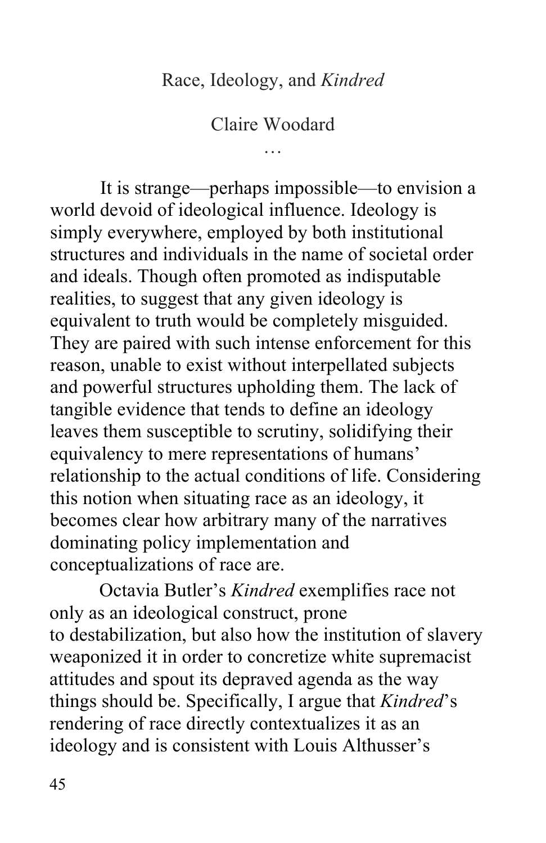Claire Woodard …

 It is strange—perhaps impossible—to envision a world devoid of ideological influence. Ideology is simply everywhere, employed by both institutional structures and individuals in the name of societal order and ideals. Though often promoted as indisputable realities, to suggest that any given ideology is equivalent to truth would be completely misguided. They are paired with such intense enforcement for this reason, unable to exist without interpellated subjects and powerful structures upholding them. The lack of tangible evidence that tends to define an ideology equivalency to mere representations of humans' relationship to the actual conditions of life. Considering this notion when situating race as an ideology, it becomes clear how arbitrary many of the narratives conceptualizations of race are. leaves them susceptible to scrutiny, solidifying their dominating policy implementation and

 conceptualizations of race are. Octavia Butler's *Kindred* exemplifies race not only as an ideological construct, prone to destabilization, but also how the institution of slavery weaponized it in order to concretize white supremacist attitudes and spout its depraved agenda as the way rendering of race directly contextualizes it as an ideology and is consistent with Louis Althusser's things should be. Specifically, I argue that *Kindred*'s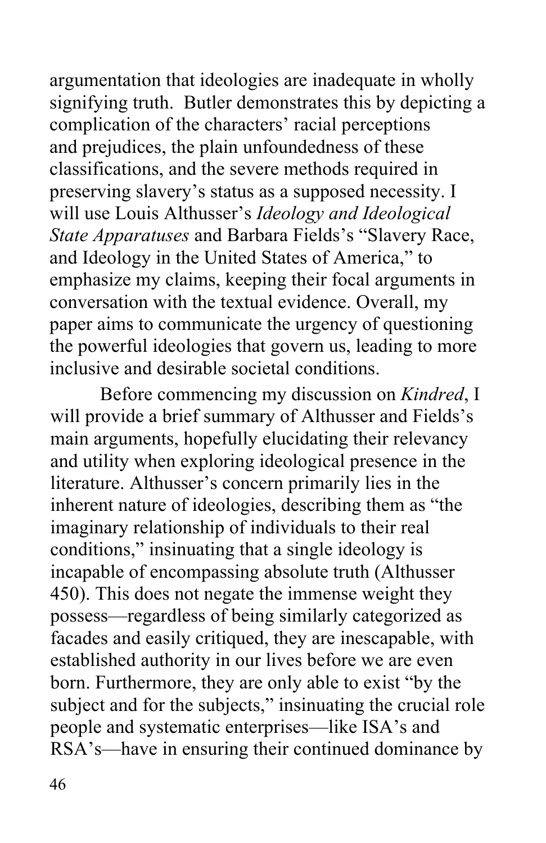argumentation that ideologies are inadequate in wholly signifying truth. Butler demonstrates this by depicting a complication of the characters' racial perceptions and prejudices, the plain unfoundedness of these classifications, and the severe methods required in preserving slavery's status as a supposed necessity. I will use Louis Althusser's *Ideology and Ideological State Apparatuses* and Barbara Fields's "Slavery Race, and Ideology in the United States of America," to emphasize my claims, keeping their focal arguments in paper aims to communicate the urgency of questioning inclusive and desirable societal conditions. conversation with the textual evidence. Overall, my the powerful ideologies that govern us, leading to more

 Before commencing my discussion on *Kindred*, I will provide a brief summary of Althusser and Fields's main arguments, hopefully elucidating their relevancy and utility when exploring ideological presence in the inherent nature of ideologies, describing them as "the conditions," insinuating that a single ideology is 450). This does not negate the immense weight they possess—regardless of being similarly categorized as facades and easily critiqued, they are inescapable, with established authority in our lives before we are even born. Furthermore, they are only able to exist "by the subject and for the subjects," insinuating the crucial role literature. Althusser's concern primarily lies in the imaginary relationship of individuals to their real incapable of encompassing absolute truth (Althusser people and systematic enterprises—like ISA's and RSA's—have in ensuring their continued dominance by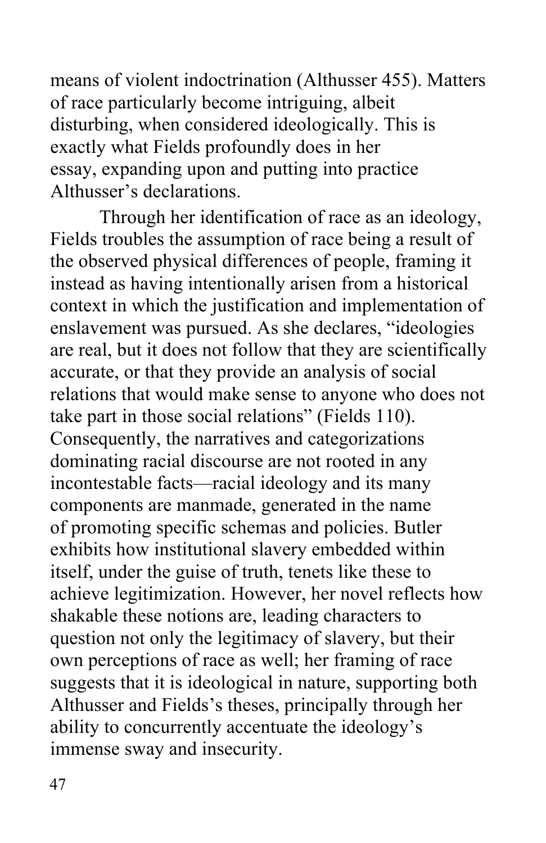means of violent indoctrination (Althusser 455). Matters of race particularly become intriguing, albeit disturbing, when considered ideologically. This is exactly what Fields profoundly does in her essay, expanding upon and putting into practice Althusser's declarations. Through her identification of race as an ideology,

 Fields troubles the assumption of race being a result of instead as having intentionally arisen from a historical context in which the justification and implementation of enslavement was pursued. As she declares, "ideologies are real, but it does not follow that they are scientifically accurate, or that they provide an analysis of social relations that would make sense to anyone who does not Consequently, the narratives and categorizations dominating racial discourse are not rooted in any incontestable facts—racial ideology and its many components are manmade, generated in the name of promoting specific schemas and policies. Butler exhibits how institutional slavery embedded within achieve legitimization. However, her novel reflects how shakable these notions are, leading characters to question not only the legitimacy of slavery, but their own perceptions of race as well; her framing of race Althusser and Fields's theses, principally through her immense sway and insecurity.<br>47 the observed physical differences of people, framing it take part in those social relations" (Fields 110). itself, under the guise of truth, tenets like these to suggests that it is ideological in nature, supporting both ability to concurrently accentuate the ideology's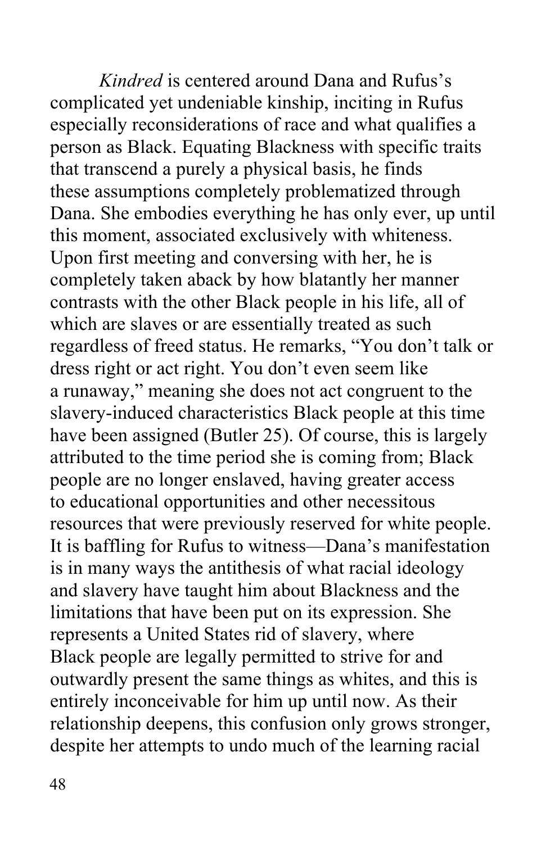complicated yet undeniable kinship, inciting in Rufus especially reconsiderations of race and what qualifies a person as Black. Equating Blackness with specific traits Dana. She embodies everything he has only ever, up until Upon first meeting and conversing with her, he is completely taken aback by how blatantly her manner contrasts with the other Black people in his life, all of which are slaves or are essentially treated as such regardless of freed status. He remarks, "You don't talk or dress right or act right. You don't even seem like a runaway," meaning she does not act congruent to the slavery-induced characteristics Black people at this time have been assigned (Butler 25). Of course, this is largely attributed to the time period she is coming from; Black people are no longer enslaved, having greater access to educational opportunities and other necessitous resources that were previously reserved for white people. It is baffling for Rufus to witness—Dana's manifestation is in many ways the antithesis of what racial ideology and slavery have taught him about Blackness and the limitations that have been put on its expression. She represents a United States rid of slavery, where Black people are legally permitted to strive for and outwardly present the same things as whites, and this is entirely inconceivable for him up until now. As their relationship deepens, this confusion only grows stronger, despite her attempts to undo much of the learning racial *Kindred* is centered around Dana and Rufus's that transcend a purely a physical basis, he finds these assumptions completely problematized through this moment, associated exclusively with whiteness.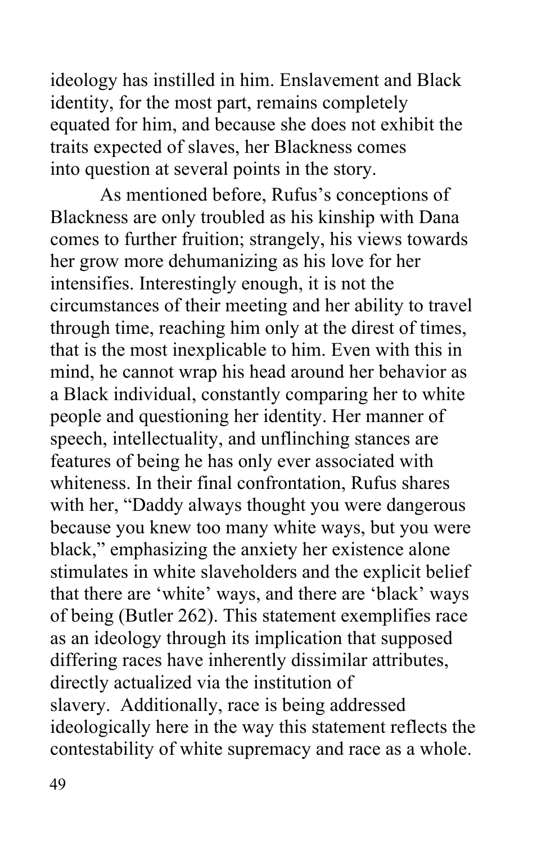equated for him, and because she does not exhibit the into question at several points in the story. ideology has instilled in him. Enslavement and Black identity, for the most part, remains completely traits expected of slaves, her Blackness comes

 As mentioned before, Rufus's conceptions of Blackness are only troubled as his kinship with Dana comes to further fruition; strangely, his views towards her grow more dehumanizing as his love for her circumstances of their meeting and her ability to travel mind, he cannot wrap his head around her behavior as a Black individual, constantly comparing her to white people and questioning her identity. Her manner of speech, intellectuality, and unflinching stances are features of being he has only ever associated with whiteness. In their final confrontation, Rufus shares with her, "Daddy always thought you were dangerous because you knew too many white ways, but you were stimulates in white slaveholders and the explicit belief of being (Butler 262). This statement exemplifies race as an ideology through its implication that supposed differing races have inherently dissimilar attributes, directly actualized via the institution of slavery. Additionally, race is being addressed contestability of white supremacy and race as a whole. intensifies. Interestingly enough, it is not the through time, reaching him only at the direst of times, that is the most inexplicable to him. Even with this in black," emphasizing the anxiety her existence alone that there are 'white' ways, and there are 'black' ways ideologically here in the way this statement reflects the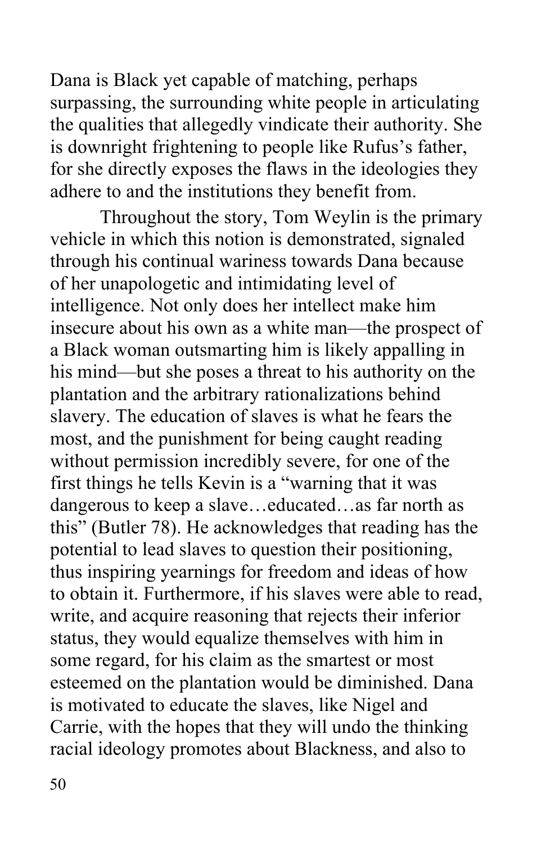Dana is Black yet capable of matching, perhaps the qualities that allegedly vindicate their authority. She for she directly exposes the flaws in the ideologies they adhere to and the institutions they benefit from. surpassing, the surrounding white people in articulating is downright frightening to people like Rufus's father,

 Throughout the story, Tom Weylin is the primary of her unapologetic and intimidating level of insecure about his own as a white man—the prospect of a Black woman outsmarting him is likely appalling in his mind—but she poses a threat to his authority on the slavery. The education of slaves is what he fears the most, and the punishment for being caught reading without permission incredibly severe, for one of the first things he tells Kevin is a "warning that it was dangerous to keep a slave…educated…as far north as this" (Butler 78). He acknowledges that reading has the potential to lead slaves to question their positioning, thus inspiring yearnings for freedom and ideas of how to obtain it. Furthermore, if his slaves were able to read, write, and acquire reasoning that rejects their inferior status, they would equalize themselves with him in some regard, for his claim as the smartest or most esteemed on the plantation would be diminished. Dana racial ideology promotes about Blackness, and also to vehicle in which this notion is demonstrated, signaled through his continual wariness towards Dana because intelligence. Not only does her intellect make him plantation and the arbitrary rationalizations behind is motivated to educate the slaves, like Nigel and Carrie, with the hopes that they will undo the thinking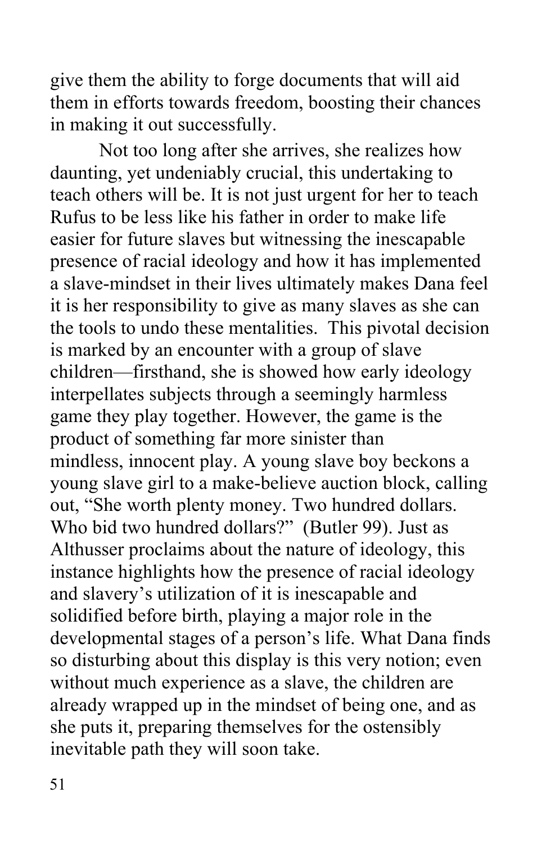give them the ability to forge documents that will aid in making it out successfully. Not too long after she arrives, she realizes how them in efforts towards freedom, boosting their chances

 daunting, yet undeniably crucial, this undertaking to Rufus to be less like his father in order to make life easier for future slaves but witnessing the inescapable presence of racial ideology and how it has implemented a slave-mindset in their lives ultimately makes Dana feel the tools to undo these mentalities. This pivotal decision children—firsthand, she is showed how early ideology product of something far more sinister than young slave girl to a make-believe auction block, calling out, "She worth plenty money. Two hundred dollars. Who bid two hundred dollars?" (Butler 99). Just as Althusser proclaims about the nature of ideology, this instance highlights how the presence of racial ideology and slavery's utilization of it is inescapable and solidified before birth, playing a major role in the developmental stages of a person's life. What Dana finds so disturbing about this display is this very notion; even without much experience as a slave, the children are already wrapped up in the mindset of being one, and as she puts it, preparing themselves for the ostensibly inevitable path they will soon take.<br>51 teach others will be. It is not just urgent for her to teach it is her responsibility to give as many slaves as she can is marked by an encounter with a group of slave interpellates subjects through a seemingly harmless game they play together. However, the game is the mindless, innocent play. A young slave boy beckons a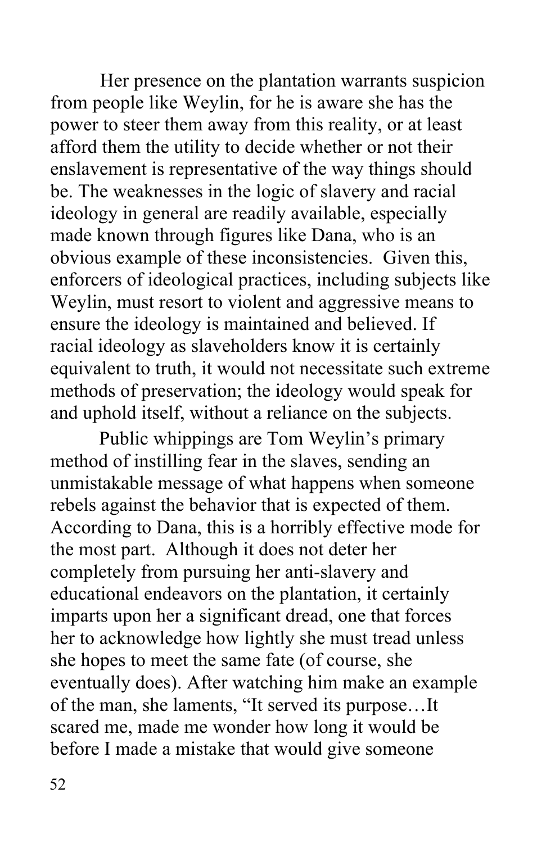Her presence on the plantation warrants suspicion from people like Weylin, for he is aware she has the power to steer them away from this reality, or at least afford them the utility to decide whether or not their enslavement is representative of the way things should be. The weaknesses in the logic of slavery and racial made known through figures like Dana, who is an obvious example of these inconsistencies. Given this, enforcers of ideological practices, including subjects like Weylin, must resort to violent and aggressive means to ensure the ideology is maintained and believed. If racial ideology as slaveholders know it is certainly equivalent to truth, it would not necessitate such extreme methods of preservation; the ideology would speak for and uphold itself, without a reliance on the subjects. ideology in general are readily available, especially

 method of instilling fear in the slaves, sending an unmistakable message of what happens when someone rebels against the behavior that is expected of them. According to Dana, this is a horribly effective mode for the most part. Although it does not deter her completely from pursuing her anti-slavery and educational endeavors on the plantation, it certainly her to acknowledge how lightly she must tread unless she hopes to meet the same fate (of course, she eventually does). After watching him make an example of the man, she laments, "It served its purpose…It scared me, made me wonder how long it would be before I made a mistake that would give someone Public whippings are Tom Weylin's primary imparts upon her a significant dread, one that forces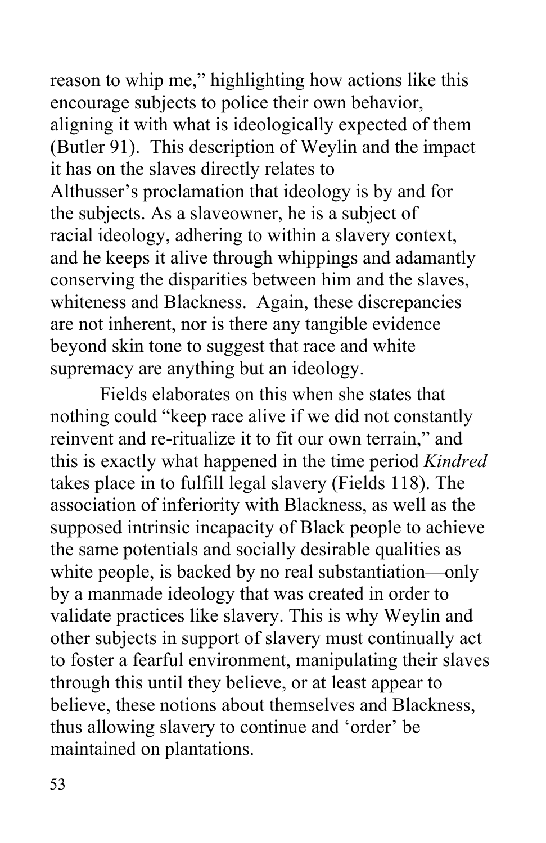reason to whip me," highlighting how actions like this encourage subjects to police their own behavior, aligning it with what is ideologically expected of them (Butler 91). This description of Weylin and the impact Althusser's proclamation that ideology is by and for and he keeps it alive through whippings and adamantly conserving the disparities between him and the slaves, whiteness and Blackness. Again, these discrepancies are not inherent, nor is there any tangible evidence supremacy are anything but an ideology. it has on the slaves directly relates to the subjects. As a slaveowner, he is a subject of racial ideology, adhering to within a slavery context, beyond skin tone to suggest that race and white

 Fields elaborates on this when she states that nothing could "keep race alive if we did not constantly reinvent and re-ritualize it to fit our own terrain," and supposed intrinsic incapacity of Black people to achieve white people, is backed by no real substantiation—only by a manmade ideology that was created in order to validate practices like slavery. This is why Weylin and other subjects in support of slavery must continually act to foster a fearful environment, manipulating their slaves through this until they believe, or at least appear to believe, these notions about themselves and Blackness, thus allowing slavery to continue and 'order' be maintained on plantations. this is exactly what happened in the time period *Kindred*  takes place in to fulfill legal slavery (Fields 118). The association of inferiority with Blackness, as well as the the same potentials and socially desirable qualities as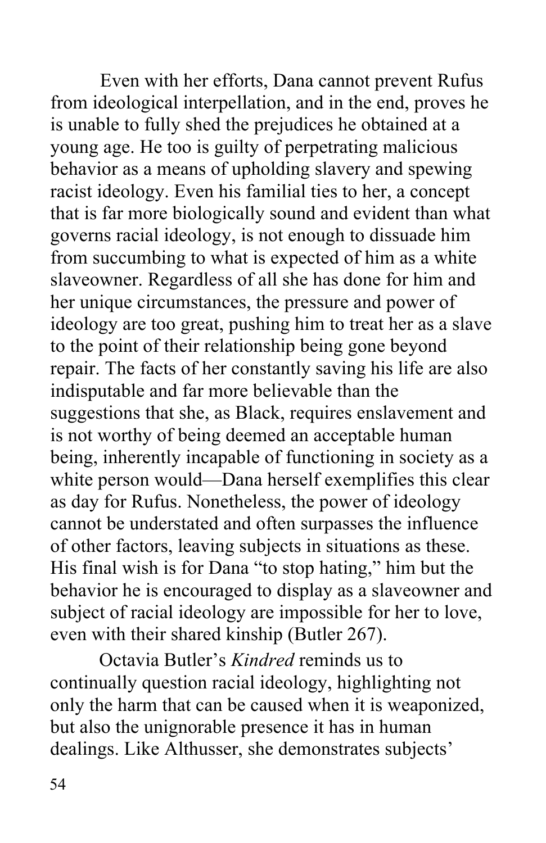Even with her efforts, Dana cannot prevent Rufus from ideological interpellation, and in the end, proves he young age. He too is guilty of perpetrating malicious behavior as a means of upholding slavery and spewing governs racial ideology, is not enough to dissuade him from succumbing to what is expected of him as a white slaveowner. Regardless of all she has done for him and her unique circumstances, the pressure and power of ideology are too great, pushing him to treat her as a slave repair. The facts of her constantly saving his life are also white person would—Dana herself exemplifies this clear as day for Rufus. Nonetheless, the power of ideology cannot be understated and often surpasses the influence of other factors, leaving subjects in situations as these. His final wish is for Dana "to stop hating," him but the behavior he is encouraged to display as a slaveowner and subject of racial ideology are impossible for her to love, is unable to fully shed the prejudices he obtained at a racist ideology. Even his familial ties to her, a concept that is far more biologically sound and evident than what to the point of their relationship being gone beyond indisputable and far more believable than the suggestions that she, as Black, requires enslavement and is not worthy of being deemed an acceptable human being, inherently incapable of functioning in society as a even with their shared kinship (Butler 267).

Octavia Butler's *Kindred* reminds us to continually question racial ideology, highlighting not only the harm that can be caused when it is weaponized, but also the unignorable presence it has in human dealings. Like Althusser, she demonstrates subjects'